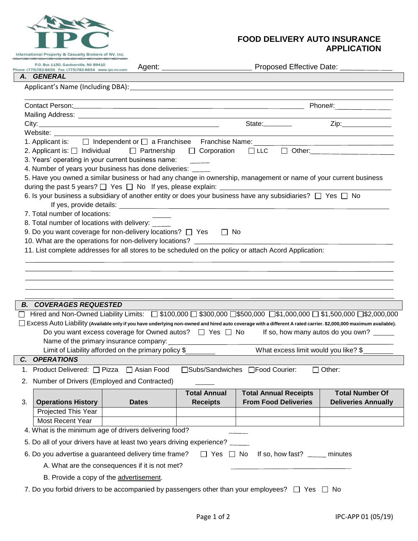

## **FOOD DELIVERY AUTO INSURANCE** International Property & Casualty Brokers of NV, Inc.

 $\Box$ 

|                                                                                                                      | P.O. Box 1150, Gardnerville, NV 89410                                                                                                              |                                                                                                                                                                                                                                | Agent: ___________________________ | Proposed Effective Date: ___________                                                                                                                               |                                   |  |  |  |
|----------------------------------------------------------------------------------------------------------------------|----------------------------------------------------------------------------------------------------------------------------------------------------|--------------------------------------------------------------------------------------------------------------------------------------------------------------------------------------------------------------------------------|------------------------------------|--------------------------------------------------------------------------------------------------------------------------------------------------------------------|-----------------------------------|--|--|--|
| А.                                                                                                                   | <b>GENERAL</b>                                                                                                                                     |                                                                                                                                                                                                                                |                                    |                                                                                                                                                                    |                                   |  |  |  |
|                                                                                                                      |                                                                                                                                                    |                                                                                                                                                                                                                                |                                    |                                                                                                                                                                    |                                   |  |  |  |
|                                                                                                                      |                                                                                                                                                    |                                                                                                                                                                                                                                |                                    |                                                                                                                                                                    |                                   |  |  |  |
|                                                                                                                      |                                                                                                                                                    | Contact Person: Note and Society and Society and Society and Society and Society and Society and Society and Society and Society and Society and Society and Society and Society and Society and Society and Society and Socie |                                    |                                                                                                                                                                    |                                   |  |  |  |
|                                                                                                                      |                                                                                                                                                    |                                                                                                                                                                                                                                |                                    |                                                                                                                                                                    |                                   |  |  |  |
|                                                                                                                      |                                                                                                                                                    |                                                                                                                                                                                                                                |                                    |                                                                                                                                                                    | Zip:_______________               |  |  |  |
|                                                                                                                      | Website: ______                                                                                                                                    |                                                                                                                                                                                                                                |                                    |                                                                                                                                                                    |                                   |  |  |  |
|                                                                                                                      | 1. Applicant is: $\Box$ Independent or $\Box$ a Franchisee Franchise Name:<br><u> 1989 - Johann Barn, mars an t-Amerikaansk politiker (* 1908)</u> |                                                                                                                                                                                                                                |                                    |                                                                                                                                                                    |                                   |  |  |  |
|                                                                                                                      | 2. Applicant is: $\Box$ Individual $\Box$ Partnership<br>□ Corporation<br>$\Box$ LLC                                                               |                                                                                                                                                                                                                                |                                    |                                                                                                                                                                    |                                   |  |  |  |
|                                                                                                                      | 3. Years' operating in your current business name:                                                                                                 |                                                                                                                                                                                                                                |                                    |                                                                                                                                                                    |                                   |  |  |  |
|                                                                                                                      | 4. Number of years your business has done deliveries: _____                                                                                        |                                                                                                                                                                                                                                |                                    |                                                                                                                                                                    |                                   |  |  |  |
|                                                                                                                      | 5. Have you owned a similar business or had any change in ownership, management or name of your current business                                   |                                                                                                                                                                                                                                |                                    |                                                                                                                                                                    |                                   |  |  |  |
|                                                                                                                      | during the past 5 years? $\Box$ Yes $\Box$ No If yes, please explain: $\Box$                                                                       |                                                                                                                                                                                                                                |                                    |                                                                                                                                                                    |                                   |  |  |  |
| 6. Is your business a subsidiary of another entity or does your business have any subsidiaries? $\Box$ Yes $\Box$ No |                                                                                                                                                    |                                                                                                                                                                                                                                |                                    |                                                                                                                                                                    |                                   |  |  |  |
|                                                                                                                      | 7. Total number of locations:                                                                                                                      |                                                                                                                                                                                                                                |                                    |                                                                                                                                                                    |                                   |  |  |  |
|                                                                                                                      |                                                                                                                                                    |                                                                                                                                                                                                                                |                                    |                                                                                                                                                                    |                                   |  |  |  |
|                                                                                                                      | 8. Total number of locations with delivery:<br>9. Do you want coverage for non-delivery locations? □ Yes<br>l I No                                 |                                                                                                                                                                                                                                |                                    |                                                                                                                                                                    |                                   |  |  |  |
|                                                                                                                      |                                                                                                                                                    | 10. What are the operations for non-delivery locations?                                                                                                                                                                        |                                    |                                                                                                                                                                    |                                   |  |  |  |
|                                                                                                                      |                                                                                                                                                    |                                                                                                                                                                                                                                |                                    |                                                                                                                                                                    |                                   |  |  |  |
|                                                                                                                      | 11. List complete addresses for all stores to be scheduled on the policy or attach Acord Application:                                              |                                                                                                                                                                                                                                |                                    |                                                                                                                                                                    |                                   |  |  |  |
|                                                                                                                      |                                                                                                                                                    |                                                                                                                                                                                                                                |                                    |                                                                                                                                                                    |                                   |  |  |  |
|                                                                                                                      |                                                                                                                                                    |                                                                                                                                                                                                                                |                                    |                                                                                                                                                                    |                                   |  |  |  |
|                                                                                                                      |                                                                                                                                                    |                                                                                                                                                                                                                                |                                    |                                                                                                                                                                    |                                   |  |  |  |
|                                                                                                                      |                                                                                                                                                    |                                                                                                                                                                                                                                |                                    |                                                                                                                                                                    |                                   |  |  |  |
|                                                                                                                      | <b>B. COVERAGES REQUESTED</b>                                                                                                                      |                                                                                                                                                                                                                                |                                    |                                                                                                                                                                    |                                   |  |  |  |
|                                                                                                                      |                                                                                                                                                    |                                                                                                                                                                                                                                |                                    | コ Hired and Non-Owned Liability Limits: ロ \$100,000 ロ \$300,000 ロ\$500,000 ロ\$1,000,000 ロ \$1,500,000 ロ\$2,000,000                                                 |                                   |  |  |  |
|                                                                                                                      |                                                                                                                                                    |                                                                                                                                                                                                                                |                                    | □ ExCeSS Auto Liability (Available only if you have underlying non-owned and hired auto coverage with a different A rated carrier. \$2,000,000 maximum available). |                                   |  |  |  |
|                                                                                                                      |                                                                                                                                                    | Do you want excess coverage for Owned autos? $\Box$ Yes $\Box$ No                                                                                                                                                              |                                    |                                                                                                                                                                    | If so, how many autos do you own? |  |  |  |
|                                                                                                                      |                                                                                                                                                    |                                                                                                                                                                                                                                |                                    |                                                                                                                                                                    |                                   |  |  |  |
| What excess limit would you like? \$<br>Limit of Liability afforded on the primary policy \$                         |                                                                                                                                                    |                                                                                                                                                                                                                                |                                    |                                                                                                                                                                    |                                   |  |  |  |
| C. OPERATIONS                                                                                                        |                                                                                                                                                    |                                                                                                                                                                                                                                |                                    |                                                                                                                                                                    |                                   |  |  |  |
| Product Delivered: □ Pizza □ Asian Food<br>□Subs/Sandwiches □Food Courier:<br>$\Box$ Other:                          |                                                                                                                                                    |                                                                                                                                                                                                                                |                                    |                                                                                                                                                                    |                                   |  |  |  |
|                                                                                                                      | 2. Number of Drivers (Employed and Contracted)                                                                                                     |                                                                                                                                                                                                                                |                                    |                                                                                                                                                                    |                                   |  |  |  |
|                                                                                                                      |                                                                                                                                                    |                                                                                                                                                                                                                                | <b>Total Annual</b>                | <b>Total Annual Receipts</b>                                                                                                                                       | <b>Total Number Of</b>            |  |  |  |
| 3.                                                                                                                   | <b>Operations History</b>                                                                                                                          | <b>Dates</b>                                                                                                                                                                                                                   | <b>Receipts</b>                    | <b>From Food Deliveries</b>                                                                                                                                        | <b>Deliveries Annually</b>        |  |  |  |
|                                                                                                                      | Projected This Year                                                                                                                                |                                                                                                                                                                                                                                |                                    |                                                                                                                                                                    |                                   |  |  |  |
|                                                                                                                      | Most Recent Year                                                                                                                                   |                                                                                                                                                                                                                                |                                    |                                                                                                                                                                    |                                   |  |  |  |
|                                                                                                                      | 4. What is the minimum age of drivers delivering food?                                                                                             |                                                                                                                                                                                                                                |                                    |                                                                                                                                                                    |                                   |  |  |  |
| 5. Do all of your drivers have at least two years driving experience?                                                |                                                                                                                                                    |                                                                                                                                                                                                                                |                                    |                                                                                                                                                                    |                                   |  |  |  |
| 6. Do you advertise a guaranteed delivery time frame?<br>$\Box$ Yes $\Box$ No<br>If so, how fast? ______ minutes     |                                                                                                                                                    |                                                                                                                                                                                                                                |                                    |                                                                                                                                                                    |                                   |  |  |  |
|                                                                                                                      | A. What are the consequences if it is not met?                                                                                                     |                                                                                                                                                                                                                                |                                    |                                                                                                                                                                    |                                   |  |  |  |
|                                                                                                                      | B. Provide a copy of the advertisement.                                                                                                            |                                                                                                                                                                                                                                |                                    |                                                                                                                                                                    |                                   |  |  |  |

7. Do you forbid drivers to be accompanied by passengers other than your employees?  $\Box$  Yes  $\Box$  No